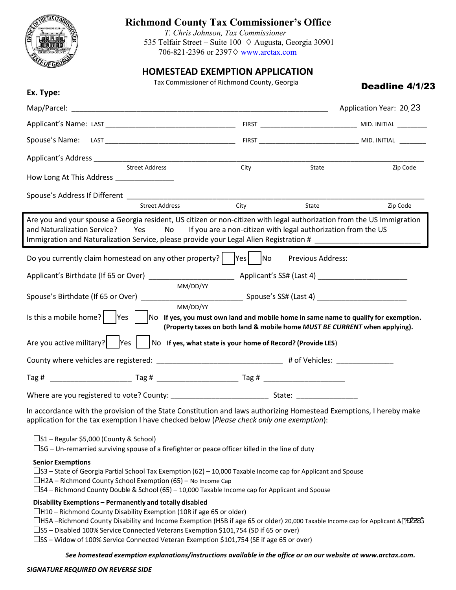

## **Richmond County Tax Commissioner's Office**

*T. Chris Johnson, Tax Commissioner* 535 Telfair Street – Suite 100  $\Diamond$  Augusta, Georgia 30901 706-821-2396 or 2397 $\diamond$  www.arctax.com

## **HOMESTEAD EXEMPTION APPLICATION**

Tax Commissioner of Richmond County, Georgia

| Deadline 4/1/23 |  |  |
|-----------------|--|--|
|-----------------|--|--|

| Ex. Type:                                        |                                                                                                                                                                                                                                                                                                                                                                                                                                                                                   | Tax Commissioner or Kichmond County, Georgia                               |                   | Deadline 4/1/23         |
|--------------------------------------------------|-----------------------------------------------------------------------------------------------------------------------------------------------------------------------------------------------------------------------------------------------------------------------------------------------------------------------------------------------------------------------------------------------------------------------------------------------------------------------------------|----------------------------------------------------------------------------|-------------------|-------------------------|
|                                                  |                                                                                                                                                                                                                                                                                                                                                                                                                                                                                   |                                                                            |                   | Application Year: 20 23 |
|                                                  |                                                                                                                                                                                                                                                                                                                                                                                                                                                                                   |                                                                            |                   |                         |
|                                                  |                                                                                                                                                                                                                                                                                                                                                                                                                                                                                   |                                                                            |                   |                         |
|                                                  |                                                                                                                                                                                                                                                                                                                                                                                                                                                                                   |                                                                            |                   |                         |
| How Long At This Address ________________        | <b>Street Address</b>                                                                                                                                                                                                                                                                                                                                                                                                                                                             | City                                                                       | State             | Zip Code                |
| Spouse's Address If Different __________         |                                                                                                                                                                                                                                                                                                                                                                                                                                                                                   |                                                                            |                   |                         |
|                                                  | <b>Street Address</b>                                                                                                                                                                                                                                                                                                                                                                                                                                                             | City                                                                       | State             | Zip Code                |
| and Naturalization Service? Yes                  | Are you and your spouse a Georgia resident, US citizen or non-citizen with legal authorization from the US Immigration<br>No l<br>Immigration and Naturalization Service, please provide your Legal Alien Registration # _______________________                                                                                                                                                                                                                                  | If you are a non-citizen with legal authorization from the US              |                   |                         |
|                                                  | Do you currently claim homestead on any other property? $ $ $ $ Yes $ $ $ $ No                                                                                                                                                                                                                                                                                                                                                                                                    |                                                                            | Previous Address: |                         |
|                                                  | MM/DD/YY                                                                                                                                                                                                                                                                                                                                                                                                                                                                          |                                                                            |                   |                         |
|                                                  |                                                                                                                                                                                                                                                                                                                                                                                                                                                                                   |                                                                            |                   |                         |
|                                                  | MM/DD/YY<br>Is this a mobile home? $ \cdot $ Yes $ \cdot $ No If yes, you must own land and mobile home in same name to qualify for exemption.                                                                                                                                                                                                                                                                                                                                    | (Property taxes on both land & mobile home MUST BE CURRENT when applying). |                   |                         |
| Are you active military? $ $ Yes                 |                                                                                                                                                                                                                                                                                                                                                                                                                                                                                   | No If yes, what state is your home of Record? (Provide LES)                |                   |                         |
|                                                  | County where vehicles are registered: _________________________________# of Vehicles: ______________                                                                                                                                                                                                                                                                                                                                                                              |                                                                            |                   |                         |
|                                                  |                                                                                                                                                                                                                                                                                                                                                                                                                                                                                   |                                                                            |                   |                         |
|                                                  |                                                                                                                                                                                                                                                                                                                                                                                                                                                                                   |                                                                            |                   |                         |
|                                                  | In accordance with the provision of the State Constitution and laws authorizing Homestead Exemptions, I hereby make<br>application for the tax exemption I have checked below (Please check only one exemption):                                                                                                                                                                                                                                                                  |                                                                            |                   |                         |
| $\square$ S1 – Regular \$5,000 (County & School) | $\Box$ SG – Un-remarried surviving spouse of a firefighter or peace officer killed in the line of duty                                                                                                                                                                                                                                                                                                                                                                            |                                                                            |                   |                         |
| <b>Senior Exemptions</b>                         | $\square$ S3 – State of Georgia Partial School Tax Exemption (62) – 10,000 Taxable Income cap for Applicant and Spouse<br>$\Box$ H2A – Richmond County School Exemption (65) – No Income Cap<br>$\square$ S4 – Richmond County Double & School (65) – 10,000 Taxable Income cap for Applicant and Spouse                                                                                                                                                                          |                                                                            |                   |                         |
|                                                  | Disability Exemptions - Permanently and totally disabled<br>$\Box$ H10 – Richmond County Disability Exemption (10R if age 65 or older)<br>$\Box$ H5A -Richmond County Disability and Income Exemption (H5B if age 65 or older) 20,000 Taxable Income cap for Applicant & O<br>$\square$ S5 – Disabled 100% Service Connected Veterans Exemption \$101,754 (SD if 65 or over)<br>$\square$ SS – Widow of 100% Service Connected Veteran Exemption \$101,754 (SE if age 65 or over) |                                                                            |                   |                         |

*See homestead exemption explanations/instructions available in the office or on our website at www.arctax.com.*